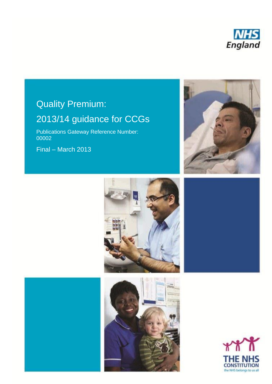

#### **line Quality Premium:** please Insert heading depending Quality Premium: **please delete delete** Quality Premium: Quality Premium:

#### $\overline{2013/14}$  quidance for  $\overline{6}$ your change chosen on the chosen one. 2013/14 guidance for CCGs

Publications Gateway Reference Number: Final – March 2013 00002

Final – March 2013







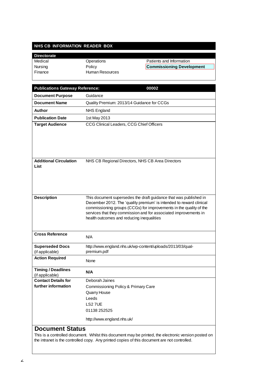#### **NHS CB INFORMATION READER BOX**

#### **Directorate** Medical Operations Patients and Information Nursing **Commissioning Development Commissioning Development** Finance Human Resources

| <b>Publications Gateway Reference:</b>       | 00002                                                                                                                                    |
|----------------------------------------------|------------------------------------------------------------------------------------------------------------------------------------------|
| <b>Document Purpose</b>                      | Guidance                                                                                                                                 |
| <b>Document Name</b>                         | Quality Premium: 2013/14 Guidance for CCGs                                                                                               |
| Author                                       | <b>NHS England</b>                                                                                                                       |
| <b>Publication Date</b>                      | 1st May 2013                                                                                                                             |
| <b>Target Audience</b>                       | CCG Clinical Leaders, CCG Chief Officers                                                                                                 |
|                                              |                                                                                                                                          |
|                                              |                                                                                                                                          |
|                                              |                                                                                                                                          |
|                                              |                                                                                                                                          |
| <b>Additional Circulation</b>                | NHS CB Regional Directors, NHS CB Area Directors                                                                                         |
| List                                         |                                                                                                                                          |
|                                              |                                                                                                                                          |
|                                              |                                                                                                                                          |
|                                              |                                                                                                                                          |
| <b>Description</b>                           | This document supersedes the draft guidance that was published in<br>December 2012. The 'quality premium' is intended to reward clinical |
|                                              | commissioning groups (CCGs) for improvements in the quality of the                                                                       |
|                                              | services that they commission and for associated improvements in                                                                         |
|                                              | health outcomes and reducing inequalities                                                                                                |
|                                              |                                                                                                                                          |
| <b>Cross Reference</b>                       | N/A                                                                                                                                      |
| <b>Superseded Docs</b>                       | http://www.england.nhs.uk/wp-content/uploads/2013/03/qual-                                                                               |
| (if applicable)                              | premium.pdf                                                                                                                              |
| <b>Action Required</b>                       | None                                                                                                                                     |
|                                              |                                                                                                                                          |
| <b>Timing / Deadlines</b><br>(if applicable) | N/A                                                                                                                                      |
| <b>Contact Details for</b>                   | Deborah Jaines                                                                                                                           |
| further information                          | Commissioning Policy & Primary Care                                                                                                      |
|                                              | <b>Quarry House</b>                                                                                                                      |
|                                              | Leeds                                                                                                                                    |
|                                              | LS27UE<br>01138 252525                                                                                                                   |
|                                              |                                                                                                                                          |
|                                              | http://www.england.nhs.uk/                                                                                                               |
| <b>Document Status</b>                       |                                                                                                                                          |
|                                              | This is a controlled document. Whilst this document may be printed, the electronic version posted on                                     |
|                                              | the intranet is the controlled copy. Any printed copies of this document are not controlled.                                             |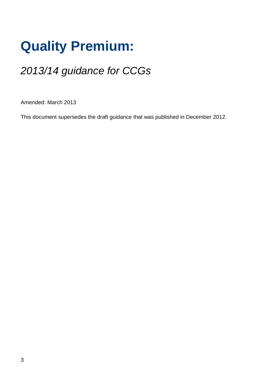# **Quality Premium:**

# *2013/14 guidance for CCGs*

Amended: March 2013

This document supersedes the draft guidance that was published in December 2012.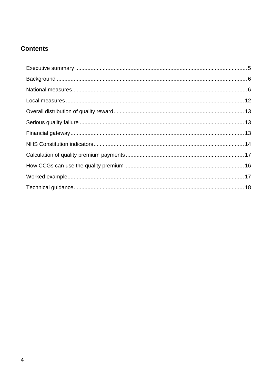# **Contents**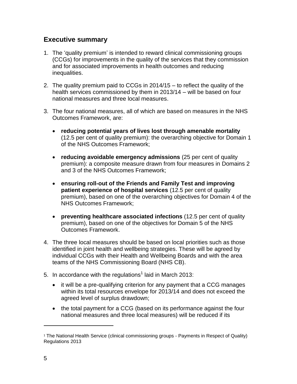# **Executive summary**

- <span id="page-4-0"></span>1. The 'quality premium' is intended to reward clinical commissioning groups (CCGs) for improvements in the quality of the services that they commission and for associated improvements in health outcomes and reducing inequalities.
- 2. The quality premium paid to CCGs in 2014/15 to reflect the quality of the health services commissioned by them in 2013/14 – will be based on four national measures and three local measures.
- 3. The four national measures, all of which are based on measures in the NHS Outcomes Framework, are:
	- **reducing potential years of lives lost through amenable mortality** (12.5 per cent of quality premium): the overarching objective for Domain 1 of the NHS Outcomes Framework;
	- **reducing avoidable emergency admissions** (25 per cent of quality premium): a composite measure drawn from four measures in Domains 2 and 3 of the NHS Outcomes Framework;
	- **ensuring roll-out of the Friends and Family Test and improving patient experience of hospital services** (12.5 per cent of quality premium), based on one of the overarching objectives for Domain 4 of the NHS Outcomes Framework;
	- **preventing healthcare associated infections** (12.5 per cent of quality premium), based on one of the objectives for Domain 5 of the NHS Outcomes Framework.
- 4. The three local measures should be based on local priorities such as those identified in joint health and wellbeing strategies. These will be agreed by individual CCGs with their Health and Wellbeing Boards and with the area teams of the NHS Commissioning Board (NHS CB).
- 5. In accordance with the regulations<sup>1</sup> laid in March 2013:
	- it will be a pre-qualifying criterion for any payment that a CCG manages within its total resources envelope for 2013/14 and does not exceed the agreed level of surplus drawdown;
	- the total payment for a CCG (based on its performance against the four national measures and three local measures) will be reduced if its

<sup>&</sup>lt;sup>1</sup> The National Health Service (clinical commissioning groups - Payments in Respect of Quality) Regulations 2013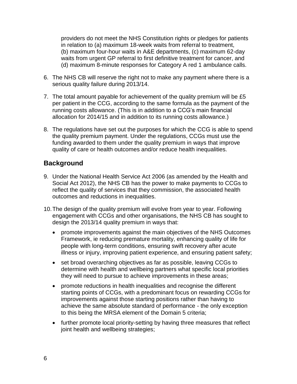providers do not meet the NHS Constitution rights or pledges for patients in relation to (a) maximum 18-week waits from referral to treatment, (b) maximum four-hour waits in A&E departments, (c) maximum 62-day waits from urgent GP referral to first definitive treatment for cancer, and (d) maximum 8-minute responses for Category A red 1 ambulance calls.

- 6. The NHS CB will reserve the right not to make any payment where there is a serious quality failure during 2013/14.
- 7. The total amount payable for achievement of the quality premium will be £5 per patient in the CCG, according to the same formula as the payment of the running costs allowance. (This is in addition to a CCG's main financial allocation for 2014/15 and in addition to its running costs allowance.)
- 8. The regulations have set out the purposes for which the CCG is able to spend the quality premium payment. Under the regulations, CCGs must use the funding awarded to them under the quality premium in ways that improve quality of care or health outcomes and/or reduce health inequalities.

# **Background**

- <span id="page-5-0"></span>9. Under the National Health Service Act 2006 (as amended by the Health and Social Act 2012), the NHS CB has the power to make payments to CCGs to reflect the quality of services that they commission, the associated health outcomes and reductions in inequalities.
- 10.The design of the quality premium will evolve from year to year. Following engagement with CCGs and other organisations, the NHS CB has sought to design the 2013/14 quality premium in ways that:
	- promote improvements against the main objectives of the NHS Outcomes Framework, ie reducing premature mortality, enhancing quality of life for people with long-term conditions, ensuring swift recovery after acute illness or injury, improving patient experience, and ensuring patient safety;
	- set broad overarching objectives as far as possible, leaving CCGs to determine with health and wellbeing partners what specific local priorities they will need to pursue to achieve improvements in these areas;
	- promote reductions in health inequalities and recognise the different starting points of CCGs, with a predominant focus on rewarding CCGs for improvements against those starting positions rather than having to achieve the same absolute standard of performance - the only exception to this being the MRSA element of the Domain 5 criteria;
	- further promote local priority-setting by having three measures that reflect joint health and wellbeing strategies;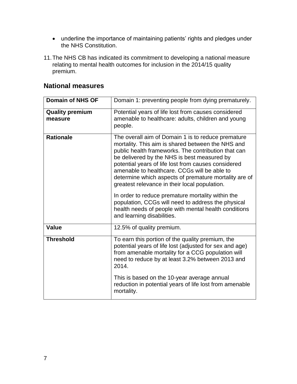- underline the importance of maintaining patients' rights and pledges under the NHS Constitution.
- 11.The NHS CB has indicated its commitment to developing a national measure relating to mental health outcomes for inclusion in the 2014/15 quality premium.

### **National measures**

<span id="page-6-0"></span>

| Domain 1: preventing people from dying prematurely.                                                                                                                                                                                                                                                                                                                                                                                                                                                                                                                                                                             |
|---------------------------------------------------------------------------------------------------------------------------------------------------------------------------------------------------------------------------------------------------------------------------------------------------------------------------------------------------------------------------------------------------------------------------------------------------------------------------------------------------------------------------------------------------------------------------------------------------------------------------------|
| Potential years of life lost from causes considered<br>amenable to healthcare: adults, children and young<br>people.                                                                                                                                                                                                                                                                                                                                                                                                                                                                                                            |
| The overall aim of Domain 1 is to reduce premature<br>mortality. This aim is shared between the NHS and<br>public health frameworks. The contribution that can<br>be delivered by the NHS is best measured by<br>potential years of life lost from causes considered<br>amenable to healthcare. CCGs will be able to<br>determine which aspects of premature mortality are of<br>greatest relevance in their local population.<br>In order to reduce premature mortality within the<br>population, CCGs will need to address the physical<br>health needs of people with mental health conditions<br>and learning disabilities. |
| 12.5% of quality premium.                                                                                                                                                                                                                                                                                                                                                                                                                                                                                                                                                                                                       |
| To earn this portion of the quality premium, the<br>potential years of life lost (adjusted for sex and age)<br>from amenable mortality for a CCG population will<br>need to reduce by at least 3.2% between 2013 and<br>2014.<br>This is based on the 10-year average annual<br>reduction in potential years of life lost from amenable<br>mortality.                                                                                                                                                                                                                                                                           |
|                                                                                                                                                                                                                                                                                                                                                                                                                                                                                                                                                                                                                                 |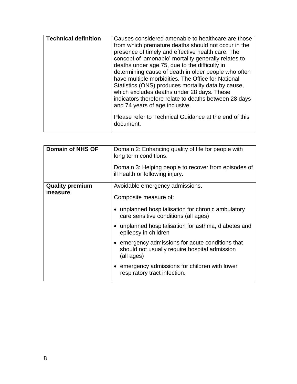| <b>Technical definition</b> | Causes considered amenable to healthcare are those<br>from which premature deaths should not occur in the<br>presence of timely and effective health care. The<br>concept of 'amenable' mortality generally relates to<br>deaths under age 75, due to the difficulty in<br>determining cause of death in older people who often<br>have multiple morbidities. The Office for National<br>Statistics (ONS) produces mortality data by cause,<br>which excludes deaths under 28 days. These<br>indicators therefore relate to deaths between 28 days<br>and 74 years of age inclusive. |
|-----------------------------|--------------------------------------------------------------------------------------------------------------------------------------------------------------------------------------------------------------------------------------------------------------------------------------------------------------------------------------------------------------------------------------------------------------------------------------------------------------------------------------------------------------------------------------------------------------------------------------|
|                             | Please refer to Technical Guidance at the end of this<br>document.                                                                                                                                                                                                                                                                                                                                                                                                                                                                                                                   |

| <b>Domain of NHS OF</b> | Domain 2: Enhancing quality of life for people with<br>long term conditions.                                  |
|-------------------------|---------------------------------------------------------------------------------------------------------------|
|                         | Domain 3: Helping people to recover from episodes of<br>ill health or following injury.                       |
| <b>Quality premium</b>  | Avoidable emergency admissions.                                                                               |
| measure                 | Composite measure of:                                                                                         |
|                         | unplanned hospitalisation for chronic ambulatory<br>care sensitive conditions (all ages)                      |
|                         | unplanned hospitalisation for asthma, diabetes and<br>epilepsy in children                                    |
|                         | emergency admissions for acute conditions that<br>should not usually require hospital admission<br>(all ages) |
|                         | • emergency admissions for children with lower<br>respiratory tract infection.                                |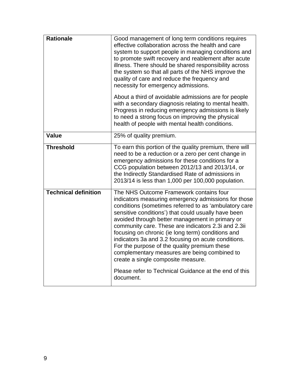| <b>Rationale</b>            | Good management of long term conditions requires<br>effective collaboration across the health and care<br>system to support people in managing conditions and<br>to promote swift recovery and reablement after acute<br>illness. There should be shared responsibility across<br>the system so that all parts of the NHS improve the<br>quality of care and reduce the frequency and<br>necessity for emergency admissions.                                                                                                                                                                                                        |
|-----------------------------|-------------------------------------------------------------------------------------------------------------------------------------------------------------------------------------------------------------------------------------------------------------------------------------------------------------------------------------------------------------------------------------------------------------------------------------------------------------------------------------------------------------------------------------------------------------------------------------------------------------------------------------|
|                             | About a third of avoidable admissions are for people<br>with a secondary diagnosis relating to mental health.<br>Progress in reducing emergency admissions is likely<br>to need a strong focus on improving the physical<br>health of people with mental health conditions.                                                                                                                                                                                                                                                                                                                                                         |
| Value                       | 25% of quality premium.                                                                                                                                                                                                                                                                                                                                                                                                                                                                                                                                                                                                             |
| <b>Threshold</b>            | To earn this portion of the quality premium, there will<br>need to be a reduction or a zero per cent change in<br>emergency admissions for these conditions for a<br>CCG population between 2012/13 and 2013/14, or<br>the Indirectly Standardised Rate of admissions in<br>2013/14 is less than 1,000 per 100,000 population.                                                                                                                                                                                                                                                                                                      |
| <b>Technical definition</b> | The NHS Outcome Framework contains four<br>indicators measuring emergency admissions for those<br>conditions (sometimes referred to as 'ambulatory care<br>sensitive conditions') that could usually have been<br>avoided through better management in primary or<br>community care. These are indicators 2.3i and 2.3ii<br>focusing on chronic (ie long term) conditions and<br>indicators 3a and 3.2 focusing on acute conditions.<br>For the purpose of the quality premium these<br>complementary measures are being combined to<br>create a single composite measure.<br>Please refer to Technical Guidance at the end of this |
|                             | document.                                                                                                                                                                                                                                                                                                                                                                                                                                                                                                                                                                                                                           |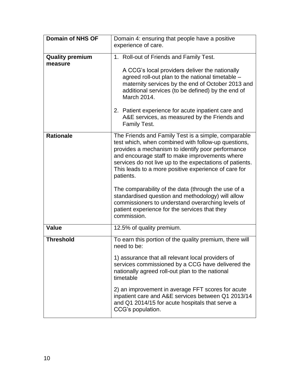| <b>Domain of NHS OF</b> | Domain 4: ensuring that people have a positive                                                                                                                                                                                                                                                                                                                                                                                                                 |
|-------------------------|----------------------------------------------------------------------------------------------------------------------------------------------------------------------------------------------------------------------------------------------------------------------------------------------------------------------------------------------------------------------------------------------------------------------------------------------------------------|
|                         | experience of care.                                                                                                                                                                                                                                                                                                                                                                                                                                            |
|                         |                                                                                                                                                                                                                                                                                                                                                                                                                                                                |
| <b>Quality premium</b>  | 1. Roll-out of Friends and Family Test.                                                                                                                                                                                                                                                                                                                                                                                                                        |
| measure                 | A CCG's local providers deliver the nationally<br>agreed roll-out plan to the national timetable -<br>maternity services by the end of October 2013 and<br>additional services (to be defined) by the end of<br>March 2014.                                                                                                                                                                                                                                    |
|                         | 2. Patient experience for acute inpatient care and<br>A&E services, as measured by the Friends and<br>Family Test.                                                                                                                                                                                                                                                                                                                                             |
| <b>Rationale</b>        | The Friends and Family Test is a simple, comparable<br>test which, when combined with follow-up questions,<br>provides a mechanism to identify poor performance<br>and encourage staff to make improvements where<br>services do not live up to the expectations of patients.<br>This leads to a more positive experience of care for<br>patients.<br>The comparability of the data (through the use of a<br>standardised question and methodology) will allow |
|                         | commissioners to understand overarching levels of<br>patient experience for the services that they<br>commission.                                                                                                                                                                                                                                                                                                                                              |
| <b>Value</b>            | 12.5% of quality premium.                                                                                                                                                                                                                                                                                                                                                                                                                                      |
| <b>Threshold</b>        | To earn this portion of the quality premium, there will<br>need to be:                                                                                                                                                                                                                                                                                                                                                                                         |
|                         | 1) assurance that all relevant local providers of<br>services commissioned by a CCG have delivered the<br>nationally agreed roll-out plan to the national<br>timetable                                                                                                                                                                                                                                                                                         |
|                         | 2) an improvement in average FFT scores for acute<br>inpatient care and A&E services between Q1 2013/14<br>and Q1 2014/15 for acute hospitals that serve a<br>CCG's population.                                                                                                                                                                                                                                                                                |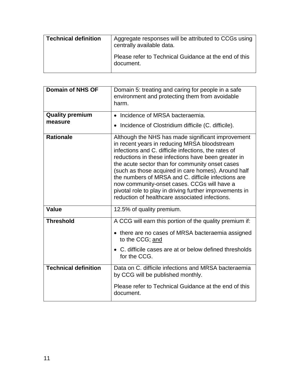| <b>Technical definition</b> | Aggregate responses will be attributed to CCGs using<br>centrally available data. |
|-----------------------------|-----------------------------------------------------------------------------------|
|                             | Please refer to Technical Guidance at the end of this<br>document.                |

<span id="page-10-0"></span>

| <b>Domain of NHS OF</b>     | Domain 5: treating and caring for people in a safe<br>environment and protecting them from avoidable<br>harm.                                                                                                                                                                                                                                                                                                                                                                                                                                 |
|-----------------------------|-----------------------------------------------------------------------------------------------------------------------------------------------------------------------------------------------------------------------------------------------------------------------------------------------------------------------------------------------------------------------------------------------------------------------------------------------------------------------------------------------------------------------------------------------|
| <b>Quality premium</b>      | • Incidence of MRSA bacteraemia.                                                                                                                                                                                                                                                                                                                                                                                                                                                                                                              |
| measure                     | • Incidence of Clostridium difficile (C. difficile).                                                                                                                                                                                                                                                                                                                                                                                                                                                                                          |
| <b>Rationale</b>            | Although the NHS has made significant improvement<br>in recent years in reducing MRSA bloodstream<br>infections and C. difficile infections, the rates of<br>reductions in these infections have been greater in<br>the acute sector than for community onset cases<br>(such as those acquired in care homes). Around half<br>the numbers of MRSA and C. difficile infections are<br>now community-onset cases. CCGs will have a<br>pivotal role to play in driving further improvements in<br>reduction of healthcare associated infections. |
| <b>Value</b>                | 12.5% of quality premium.                                                                                                                                                                                                                                                                                                                                                                                                                                                                                                                     |
| <b>Threshold</b>            | A CCG will earn this portion of the quality premium if:                                                                                                                                                                                                                                                                                                                                                                                                                                                                                       |
|                             | • there are no cases of MRSA bacteraemia assigned<br>to the CCG; and                                                                                                                                                                                                                                                                                                                                                                                                                                                                          |
|                             | C. difficile cases are at or below defined thresholds<br>for the CCG.                                                                                                                                                                                                                                                                                                                                                                                                                                                                         |
| <b>Technical definition</b> | Data on C. difficile infections and MRSA bacteraemia<br>by CCG will be published monthly.                                                                                                                                                                                                                                                                                                                                                                                                                                                     |
|                             | Please refer to Technical Guidance at the end of this<br>document.                                                                                                                                                                                                                                                                                                                                                                                                                                                                            |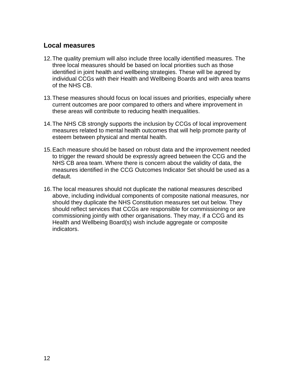#### **Local measures**

- 12.The quality premium will also include three locally identified measures. The three local measures should be based on local priorities such as those identified in joint health and wellbeing strategies. These will be agreed by individual CCGs with their Health and Wellbeing Boards and with area teams of the NHS CB.
- 13.These measures should focus on local issues and priorities, especially where current outcomes are poor compared to others and where improvement in these areas will contribute to reducing health inequalities.
- 14.The NHS CB strongly supports the inclusion by CCGs of local improvement measures related to mental health outcomes that will help promote parity of esteem between physical and mental health.
- 15.Each measure should be based on robust data and the improvement needed to trigger the reward should be expressly agreed between the CCG and the NHS CB area team. Where there is concern about the validity of data, the measures identified in the CCG Outcomes Indicator Set should be used as a default.
- 16.The local measures should not duplicate the national measures described above, including individual components of composite national measures, nor should they duplicate the NHS Constitution measures set out below. They should reflect services that CCGs are responsible for commissioning or are commissioning jointly with other organisations. They may, if a CCG and its Health and Wellbeing Board(s) wish include aggregate or composite indicators.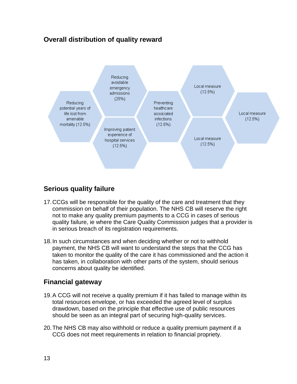# **Overall distribution of quality reward**

<span id="page-12-0"></span>

# **Serious quality failure**

- <span id="page-12-1"></span>17.CCGs will be responsible for the quality of the care and treatment that they commission on behalf of their population. The NHS CB will reserve the right not to make any quality premium payments to a CCG in cases of serious quality failure, ie where the Care Quality Commission judges that a provider is in serious breach of its registration requirements.
- 18.In such circumstances and when deciding whether or not to withhold payment, the NHS CB will want to understand the steps that the CCG has taken to monitor the quality of the care it has commissioned and the action it has taken, in collaboration with other parts of the system, should serious concerns about quality be identified.

# **Financial gateway**

- <span id="page-12-2"></span>19.A CCG will not receive a quality premium if it has failed to manage within its total resources envelope, or has exceeded the agreed level of surplus drawdown, based on the principle that effective use of public resources should be seen as an integral part of securing high-quality services.
- <span id="page-12-3"></span>20.The NHS CB may also withhold or reduce a quality premium payment if a CCG does not meet requirements in relation to financial propriety.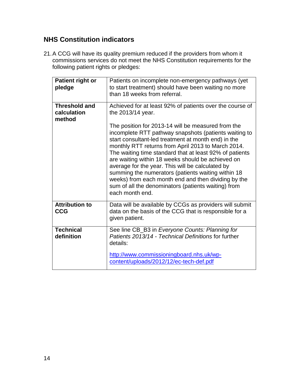# **NHS Constitution indicators**

21.A CCG will have its quality premium reduced if the providers from whom it commissions services do not meet the NHS Constitution requirements for the following patient rights or pledges:

| Patient right or<br>pledge                    | Patients on incomplete non-emergency pathways (yet<br>to start treatment) should have been waiting no more<br>than 18 weeks from referral.                                                                                                                                                                                                                                                                                                                                                                                                                                                                                                                           |
|-----------------------------------------------|----------------------------------------------------------------------------------------------------------------------------------------------------------------------------------------------------------------------------------------------------------------------------------------------------------------------------------------------------------------------------------------------------------------------------------------------------------------------------------------------------------------------------------------------------------------------------------------------------------------------------------------------------------------------|
| <b>Threshold and</b><br>calculation<br>method | Achieved for at least 92% of patients over the course of<br>the 2013/14 year.<br>The position for 2013-14 will be measured from the<br>incomplete RTT pathway snapshots (patients waiting to<br>start consultant-led treatment at month end) in the<br>monthly RTT returns from April 2013 to March 2014.<br>The waiting time standard that at least 92% of patients<br>are waiting within 18 weeks should be achieved on<br>average for the year. This will be calculated by<br>summing the numerators (patients waiting within 18<br>weeks) from each month end and then dividing by the<br>sum of all the denominators (patients waiting) from<br>each month end. |
| <b>Attribution to</b><br><b>CCG</b>           | Data will be available by CCGs as providers will submit<br>data on the basis of the CCG that is responsible for a<br>given patient.                                                                                                                                                                                                                                                                                                                                                                                                                                                                                                                                  |
| <b>Technical</b><br>definition                | See line CB_B3 in Everyone Counts: Planning for<br>Patients 2013/14 - Technical Definitions for further<br>details:<br>http://www.commissioningboard.nhs.uk/wp-<br>content/uploads/2012/12/ec-tech-def.pdf                                                                                                                                                                                                                                                                                                                                                                                                                                                           |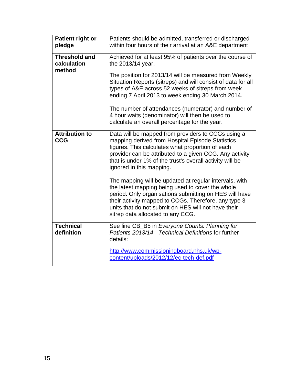| <b>Patient right or</b><br>pledge             | Patients should be admitted, transferred or discharged<br>within four hours of their arrival at an A&E department                                                                                                                                                                                                        |
|-----------------------------------------------|--------------------------------------------------------------------------------------------------------------------------------------------------------------------------------------------------------------------------------------------------------------------------------------------------------------------------|
| <b>Threshold and</b><br>calculation<br>method | Achieved for at least 95% of patients over the course of<br>the 2013/14 year.                                                                                                                                                                                                                                            |
|                                               | The position for 2013/14 will be measured from Weekly<br>Situation Reports (sitreps) and will consist of data for all<br>types of A&E across 52 weeks of sitreps from week<br>ending 7 April 2013 to week ending 30 March 2014.                                                                                          |
|                                               | The number of attendances (numerator) and number of<br>4 hour waits (denominator) will then be used to<br>calculate an overall percentage for the year.                                                                                                                                                                  |
| <b>Attribution to</b><br><b>CCG</b>           | Data will be mapped from providers to CCGs using a<br>mapping derived from Hospital Episode Statistics<br>figures. This calculates what proportion of each<br>provider can be attributed to a given CCG. Any activity<br>that is under 1% of the trust's overall activity will be<br>ignored in this mapping.            |
|                                               | The mapping will be updated at regular intervals, with<br>the latest mapping being used to cover the whole<br>period. Only organisations submitting on HES will have<br>their activity mapped to CCGs. Therefore, any type 3<br>units that do not submit on HES will not have their<br>sitrep data allocated to any CCG. |
| <b>Technical</b><br>definition                | See line CB_B5 in Everyone Counts: Planning for<br>Patients 2013/14 - Technical Definitions for further<br>details:                                                                                                                                                                                                      |
|                                               | http://www.commissioningboard.nhs.uk/wp-<br>content/uploads/2012/12/ec-tech-def.pdf                                                                                                                                                                                                                                      |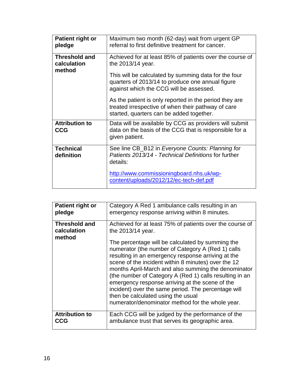| Patient right or<br>pledge                    | Maximum two month (62-day) wait from urgent GP<br>referral to first definitive treatment for cancer.                                                     |
|-----------------------------------------------|----------------------------------------------------------------------------------------------------------------------------------------------------------|
| <b>Threshold and</b><br>calculation<br>method | Achieved for at least 85% of patients over the course of<br>the 2013/14 year.<br>This will be calculated by summing data for the four                    |
|                                               | quarters of 2013/14 to produce one annual figure<br>against which the CCG will be assessed.                                                              |
|                                               | As the patient is only reported in the period they are<br>treated irrespective of when their pathway of care<br>started, quarters can be added together. |
| <b>Attribution to</b><br><b>CCG</b>           | Data will be available by CCG as providers will submit<br>data on the basis of the CCG that is responsible for a<br>given patient.                       |
| <b>Technical</b><br>definition                | See line CB_B12 in Everyone Counts: Planning for<br>Patients 2013/14 - Technical Definitions for further<br>details:                                     |
|                                               | http://www.commissioningboard.nhs.uk/wp-<br>content/uploads/2012/12/ec-tech-def.pdf                                                                      |

| Patient right or                              | Category A Red 1 ambulance calls resulting in an                                                                                                                                                                                                                                                                                                                                                                                                                                                                                                                                                                          |
|-----------------------------------------------|---------------------------------------------------------------------------------------------------------------------------------------------------------------------------------------------------------------------------------------------------------------------------------------------------------------------------------------------------------------------------------------------------------------------------------------------------------------------------------------------------------------------------------------------------------------------------------------------------------------------------|
| pledge                                        | emergency response arriving within 8 minutes.                                                                                                                                                                                                                                                                                                                                                                                                                                                                                                                                                                             |
| <b>Threshold and</b><br>calculation<br>method | Achieved for at least 75% of patients over the course of<br>the 2013/14 year.<br>The percentage will be calculated by summing the<br>numerator (the number of Category A (Red 1) calls<br>resulting in an emergency response arriving at the<br>scene of the incident within 8 minutes) over the 12<br>months April-March and also summing the denominator<br>(the number of Category A (Red 1) calls resulting in an<br>emergency response arriving at the scene of the<br>incident) over the same period. The percentage will<br>then be calculated using the usual<br>numerator/denominator method for the whole year. |
| <b>Attribution to</b>                         | Each CCG will be judged by the performance of the                                                                                                                                                                                                                                                                                                                                                                                                                                                                                                                                                                         |
| CCG                                           | ambulance trust that serves its geographic area.                                                                                                                                                                                                                                                                                                                                                                                                                                                                                                                                                                          |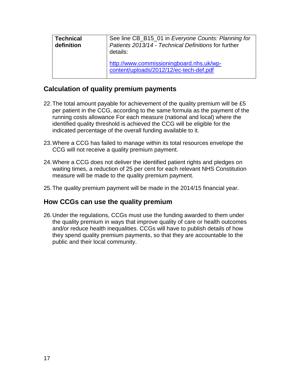| <b>Technical</b><br>definition | See line CB_B15_01 in Everyone Counts: Planning for<br>Patients 2013/14 - Technical Definitions for further<br>details: |
|--------------------------------|-------------------------------------------------------------------------------------------------------------------------|
|                                | http://www.commissioningboard.nhs.uk/wp-<br>content/uploads/2012/12/ec-tech-def.pdf                                     |

### **Calculation of quality premium payments**

- <span id="page-16-0"></span>22. The total amount payable for achievement of the quality premium will be £5 per patient in the CCG, according to the same formula as the payment of the running costs allowance For each measure (national and local) where the identified quality threshold is achieved the CCG will be eligible for the indicated percentage of the overall funding available to it.
- 23.Where a CCG has failed to manage within its total resources envelope the CCG will not receive a quality premium payment.
- 24.Where a CCG does not deliver the identified patient rights and pledges on waiting times, a reduction of 25 per cent for each relevant NHS Constitution measure will be made to the quality premium payment.
- 25.The quality premium payment will be made in the 2014/15 financial year.

#### **How CCGs can use the quality premium**

26.Under the regulations, CCGs must use the funding awarded to them under the quality premium in ways that improve quality of care or health outcomes and/or reduce health inequalities. CCGs will have to publish details of how they spend quality premium payments, so that they are accountable to the public and their local community.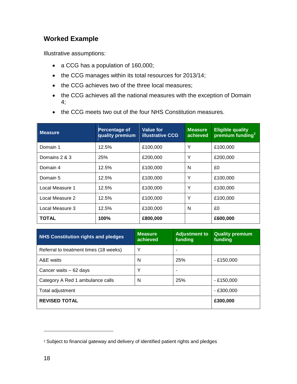# **Worked Example**

Illustrative assumptions:

- a CCG has a population of 160,000;
- the CCG manages within its total resources for 2013/14;
- the CCG achieves two of the three local measures;
- the CCG achieves all the national measures with the exception of Domain 4;
- the CCG meets two out of the four NHS Constitution measures.

| <b>Measure</b>  | Percentage of<br>quality premium | Value for<br><b>illustrative CCG</b> | <b>Measure</b><br>achieved | <b>Eligible quality</b><br>premium funding <sup>2</sup> |
|-----------------|----------------------------------|--------------------------------------|----------------------------|---------------------------------------------------------|
| Domain 1        | 12.5%                            | £100,000                             | Υ                          | £100,000                                                |
| Domains 2 & 3   | 25%                              | £200,000                             | Υ                          | £200,000                                                |
| Domain 4        | 12.5%                            | £100,000                             | N                          | £0                                                      |
| Domain 5        | 12.5%                            | £100,000                             | Y                          | £100,000                                                |
| Local Measure 1 | 12.5%                            | £100,000                             | Υ                          | £100,000                                                |
| Local Measure 2 | 12.5%                            | £100,000                             | Y                          | £100,000                                                |
| Local Measure 3 | 12.5%                            | £100,000                             | N                          | £0                                                      |
| <b>TOTAL</b>    | 100%                             | £800,000                             |                            | £600,000                                                |

| <b>NHS Constitution rights and pledges</b> | <b>Measure</b><br>achieved | <b>Adjustment to</b><br>funding | <b>Quality premium</b><br>funding |
|--------------------------------------------|----------------------------|---------------------------------|-----------------------------------|
| Referral to treatment times (18 weeks)     | Υ                          |                                 |                                   |
| A&E waits                                  | N                          | 25%                             | $-£150,000$                       |
| Cancer waits - 62 days                     | Υ                          |                                 |                                   |
| Category A Red 1 ambulance calls           | N                          | 25%                             | $-£150,000$                       |
| Total adjustment                           |                            |                                 | $- E300.000$                      |
| <b>REVISED TOTAL</b>                       | £300,000                   |                                 |                                   |

<sup>&</sup>lt;sup>2</sup> Subject to financial gateway and delivery of identified patient rights and pledges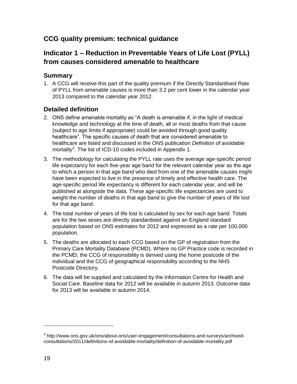# **CCG quality premium: technical guidance**

# **Indicator 1 – Reduction in Preventable Years of Life Lost (PYLL) from causes considered amenable to healthcare**

#### **Summary**

1. A CCG will receive this part of the quality premium if the Directly Standardised Rate of PYLL from amenable causes is more than 3.2 per cent lower in the calendar year 2013 compared to the calendar year 2012.

#### **Detailed definition**

- 2. ONS define amenable mortality as "A death is amenable if, in the light of medical knowledge and technology at the time of death, all or most deaths from that cause (subject to age limits if appropriate) could be avoided through good quality healthcare". The specific causes of death that are considered amenable to healthcare are listed and discussed in the ONS publication *Definition of avoidable mortality<sup>3</sup>* . The list of ICD-10 codes included in Appendix 1.
- 3. The methodology for calculating the PYLL rate uses the average age-specific period life expectancy for each five-year age band for the relevant calendar year as the age to which a person in that age band who died from one of the amenable causes might have been expected to live in the presence of timely and effective health care. The age-specific period life expectancy is different for each calendar year, and will be published at alongside the data. These age-specific life expectancies are used to weight the number of deaths in that age band to give the number of years of life lost for that age band.
- 4. The total number of years of life lost is calculated by sex for each age band. Totals are for the two sexes are directly standardised against an England standard population based on ONS estimates for 2012 and expressed as a rate per 100,000 population.
- 5. The deaths are allocated to each CCG based on the GP of registration from the Primary Care Mortality Database (PCMD). Where no GP Practice code is recorded in the PCMD, the CCG of responsibility is derived using the home postcode of the individual and the CCG of geographical responsibility according to the NHS Postcode Directory.
- 6. The data will be supplied and calculated by the Information Centre for Health and Social Care. Baseline data for 2012 will be available in autumn 2013. Outcome data for 2013 will be available in autumn 2014.

<sup>&</sup>lt;sup>3</sup> http://www.ons.gov.uk/ons/about-ons/user-engagement/consultations-and-surveys/archivedconsultations/2011/definitions-of-avoidable-mortality/definition-of-avoidable-mortality.pdf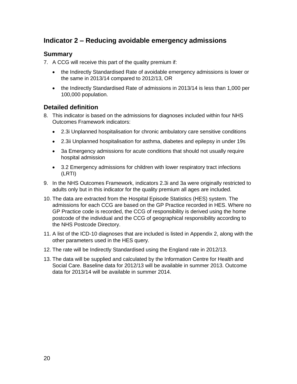# **Indicator 2 – Reducing avoidable emergency admissions**

#### **Summary**

7. A CCG will receive this part of the quality premium if:

- the Indirectly Standardised Rate of avoidable emergency admissions is lower or the same in 2013/14 compared to 2012/13, OR
- the Indirectly Standardised Rate of admissions in 2013/14 is less than 1,000 per 100,000 population.

#### **Detailed definition**

- 8. This indicator is based on the admissions for diagnoses included within four NHS Outcomes Framework indicators:
	- 2.3i Unplanned hospitalisation for chronic ambulatory care sensitive conditions
	- 2.3ii Unplanned hospitalisation for asthma, diabetes and epilepsy in under 19s
	- 3a Emergency admissions for acute conditions that should not usually require hospital admission
	- 3.2 Emergency admissions for children with lower respiratory tract infections (LRTI)
- 9. In the NHS Outcomes Framework, indicators 2.3i and 3a were originally restricted to adults only but in this indicator for the quality premium all ages are included.
- 10. The data are extracted from the Hospital Episode Statistics (HES) system. The admissions for each CCG are based on the GP Practice recorded in HES. Where no GP Practice code is recorded, the CCG of responsibility is derived using the home postcode of the individual and the CCG of geographical responsibility according to the NHS Postcode Directory.
- 11. A list of the ICD-10 diagnoses that are included is listed in Appendix 2, along with the other parameters used in the HES query.
- 12. The rate will be Indirectly Standardised using the England rate in 2012/13.
- 13. The data will be supplied and calculated by the Information Centre for Health and Social Care. Baseline data for 2012/13 will be available in summer 2013. Outcome data for 2013/14 will be available in summer 2014.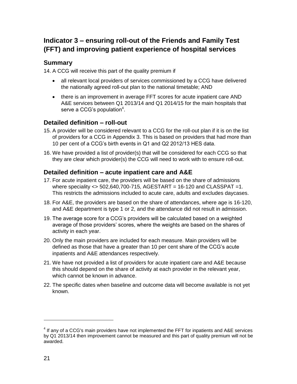# **Indicator 3 – ensuring roll-out of the Friends and Family Test (FFT) and improving patient experience of hospital services**

#### **Summary**

14. A CCG will receive this part of the quality premium if

- all relevant local providers of services commissioned by a CCG have delivered the nationally agreed roll-out plan to the national timetable; AND
- there is an improvement in average FFT scores for acute inpatient care AND A&E services between Q1 2013/14 and Q1 2014/15 for the main hospitals that serve a CCG's population<sup>4</sup>.

#### **Detailed definition – roll-out**

- 15. A provider will be considered relevant to a CCG for the roll-out plan if it is on the list of providers for a CCG in Appendix 3. This is based on providers that had more than 10 per cent of a CCG's birth events in Q1 and Q2 2012/13 HES data.
- 16. We have provided a list of provider(s) that will be considered for each CCG so that they are clear which provider(s) the CCG will need to work with to ensure roll-out.

#### **Detailed definition – acute inpatient care and A&E**

- 17. For acute inpatient care, the providers will be based on the share of admissions where speciality  $\langle$  > 502,640,700-715, AGESTART = 16-120 and CLASSPAT = 1. This restricts the admissions included to acute care, adults and excludes daycases.
- 18. For A&E, the providers are based on the share of attendances, where age is 16-120, and A&E department is type 1 or 2, and the attendance did not result in admission.
- 19. The average score for a CCG's providers will be calculated based on a weighted average of those providers' scores, where the weights are based on the shares of activity in each year.
- 20. Only the main providers are included for each measure. Main providers will be defined as those that have a greater than 10 per cent share of the CCG's acute inpatients and A&E attendances respectively.
- 21. We have not provided a list of providers for acute inpatient care and A&E because this should depend on the share of activity at each provider in the relevant year, which cannot be known in advance.
- 22. The specific dates when baseline and outcome data will become available is not yet known.

 $4$  If any of a CCG's main providers have not implemented the FFT for inpatients and A&E services by Q1 2013/14 then improvement cannot be measured and this part of quality premium will not be awarded.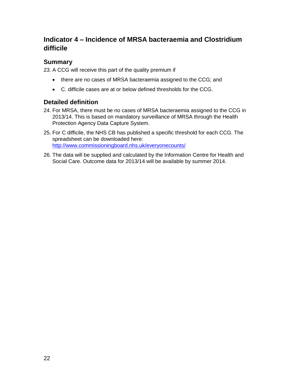# **Indicator 4 – Incidence of MRSA bacteraemia and Clostridium difficile**

#### **Summary**

23. A CCG will receive this part of the quality premium if

- there are no cases of MRSA bacteraemia assigned to the CCG; and
- C. difficile cases are at or below defined thresholds for the CCG.

#### **Detailed definition**

- 24. For MRSA, there must be no cases of MRSA bacteraemia assigned to the CCG in 2013/14. This is based on mandatory surveillance of MRSA through the Health Protection Agency Data Capture System.
- 25. For C difficile, the NHS CB has published a specific threshold for each CCG. The spreadsheet can be downloaded here: <http://www.commissioningboard.nhs.uk/everyonecounts/>
- 26. The data will be supplied and calculated by the Information Centre for Health and Social Care. Outcome data for 2013/14 will be available by summer 2014.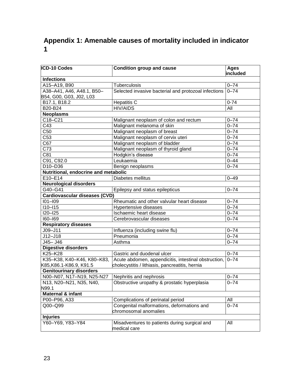# **Appendix 1: Amenable causes of mortality included in indicator 1**

| ICD-10 Codes                         | Condition group and cause                                     | Ages<br>included |
|--------------------------------------|---------------------------------------------------------------|------------------|
| <b>Infections</b>                    |                                                               |                  |
| A15-A19, B90                         | Tuberculosis                                                  | $0 - 74$         |
| A38-A41, A46, A48.1, B50-            | Selected invasive bacterial and protozoal infections          | $0 - 74$         |
| B54, G00, G03, J02, L03              |                                                               |                  |
| B17.1, B18.2                         | <b>Hepatitis C</b>                                            | $0 - 74$         |
| B20-B24                              | <b>HIV/AIDS</b>                                               | All              |
| <b>Neoplasms</b>                     |                                                               |                  |
| C18-C21                              | Malignant neoplasm of colon and rectum                        | $0 - 74$         |
| C43                                  | Malignant melanoma of skin                                    | $0 - 74$         |
| C50                                  | Malignant neoplasm of breast                                  | $0 - 74$         |
| C53                                  | Malignant neoplasm of cervix uteri                            | $0 - 74$         |
| C67                                  | Malignant neoplasm of bladder                                 | $0 - 74$         |
| C73                                  | Malignant neoplasm of thyroid gland                           | $0 - 74$         |
| C81                                  | Hodgkin's disease                                             | $0 - 74$         |
| C91, C92.0                           | Leukaemia                                                     | $0 - 44$         |
| D10-D36                              | Benign neoplasms                                              | $0 - 74$         |
| Nutritional, endocrine and metabolic |                                                               |                  |
| E10-E14                              | Diabetes mellitus                                             | $0 - 49$         |
| <b>Neurological disorders</b>        |                                                               |                  |
| G40-G41                              | Epilepsy and status epilepticus                               | $0 - 74$         |
| Cardiovascular diseases (CVD)        |                                                               |                  |
| $101 - 109$                          | Rheumatic and other valvular heart disease                    | $0 - 74$         |
| $110 - 115$                          | Hypertensive diseases                                         | $0 - 74$         |
| I20-I25                              | Ischaemic heart disease                                       | $0 - 74$         |
| 160-169                              | Cerebrovascular diseases                                      | $0 - 74$         |
| <b>Respiratory diseases</b>          |                                                               |                  |
| $J09 - J11$                          | Influenza (including swine flu)                               | $0 - 74$         |
| $J12 - J18$                          | Pneumonia                                                     | $0 - 74$         |
| J45- J46                             | Asthma                                                        | $0 - 74$         |
| <b>Digestive disorders</b>           |                                                               |                  |
| K25-K28                              | Gastric and duodenal ulcer                                    | $0 - 74$         |
| K35-K38, K40-K46, K80-K83,           | Acute abdomen, appendicitis, intestinal obstruction,          | $0 - 74$         |
| K85,K86.1-K86.9, K91.5               | cholecystitis / lithiasis, pancreatitis, hernia               |                  |
| <b>Genitourinary disorders</b>       |                                                               |                  |
| N00-N07, N17-N19, N25-N27            | Nephritis and nephrosis                                       | $0 - 74$         |
| N13, N20-N21, N35, N40,              | Obstructive uropathy & prostatic hyperplasia                  | $0 - 74$         |
| N99.1                                |                                                               |                  |
| Maternal & infant                    |                                                               |                  |
| P00-P96, A33                         | Complications of perinatal period                             | All              |
| Q00-Q99                              | Congenital malformations, deformations and                    | $0 - 74$         |
|                                      | chromosomal anomalies                                         |                  |
| <b>Injuries</b>                      |                                                               |                  |
| Y60-Y69, Y83-Y84                     | Misadventures to patients during surgical and<br>medical care | All              |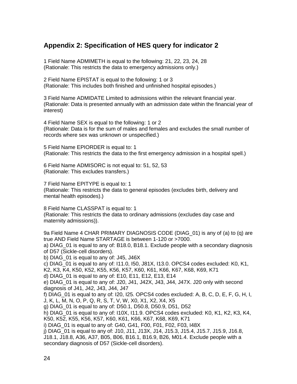# **Appendix 2: Specification of HES query for indicator 2**

1 Field Name ADMIMETH is equal to the following: 21, 22, 23, 24, 28 (Rationale: This restricts the data to emergency admissions only.)

2 Field Name EPISTAT is equal to the following: 1 or 3 (Rationale: This includes both finished and unfinished hospital episodes.)

3 Field Name ADMIDATE Limited to admissions within the relevant financial year. (Rationale: Data is presented annually with an admission date within the financial year of interest)

4 Field Name SEX is equal to the following: 1 or 2 (Rationale: Data is for the sum of males and females and excludes the small number of records where sex was unknown or unspecified.)

5 Field Name EPIORDER is equal to: 1 (Rationale: This restricts the data to the first emergency admission in a hospital spell.)

6 Field Name ADMISORC is not equal to: 51, 52, 53 (Rationale: This excludes transfers.)

7 Field Name EPITYPE is equal to: 1 (Rationale: This restricts the data to general episodes (excludes birth, delivery and mental health episodes).)

8 Field Name CLASSPAT is equal to: 1 (Rationale: This restricts the data to ordinary admissions (excludes day case and maternity admissions)).

9a Field Name 4 CHAR PRIMARY DIAGNOSIS CODE (DIAG\_01) is any of (a) to (q) are true AND Field Name STARTAGE is between 1-120 or >7000.

a) DIAG\_01 is equal to any of: B18.0, B18.1. Exclude people with a secondary diagnosis of D57 (Sickle-cell disorders).

b) DIAG\_01 is equal to any of: J45, J46X

c) DIAG  $01$  is equal to any of: I11.0, I50, J81X, I13.0. OPCS4 codes excluded: K0, K1, K2, K3, K4, K50, K52, K55, K56, K57, K60, K61, K66, K67, K68, K69, K71

d) DIAG\_01 is equal to any of: E10, E11, E12, E13, E14

e) DIAG\_01 is equal to any of: J20, J41, J42X, J43, J44, J47X. J20 only with second diagnosis of J41, J42, J43, J44, J47

f) DIAG\_01 is equal to any of: I20, I25. OPCS4 codes excluded: A, B, C, D, E, F, G, H, I, J, K, L, M, N, O, P, Q, R, S, T, V, W, X0, X1, X2, X4, X5

g) DIAG\_01 is equal to any of: D50.1, D50.8, D50.9, D51, D52

h) DIAG\_01 is equal to any of: I10X, I11.9. OPCS4 codes excluded: K0, K1, K2, K3, K4, K50, K52, K55, K56, K57, K60, K61, K66, K67, K68, K69, K71

i) DIAG\_01 is equal to any of: G40, G41, F00, F01, F02, F03, I48X

j) DIAG\_01 is equal to any of: J10, J11, J13X, J14, J15.3, J15.4, J15.7, J15.9, J16.8,

J18.1, J18.8, A36, A37, B05, B06, B16.1, B16.9, B26, M01.4. Exclude people with a secondary diagnosis of D57 (Sickle-cell disorders).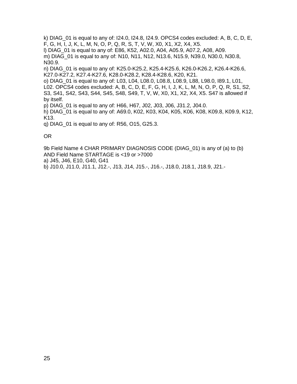k) DIAG  $01$  is equal to any of: I24.0, I24.8, I24.9. OPCS4 codes excluded: A, B, C, D, E, F, G, H, I, J, K, L, M, N, O, P, Q, R, S, T, V, W, X0, X1, X2, X4, X5. l) DIAG\_01 is equal to any of: E86, K52, A02.0, A04, A05.9, A07.2, A08, A09. m) DIAG 01 is equal to any of: N10, N11, N12, N13.6, N15.9, N39.0, N30.0, N30.8, N30.9.

n) DIAG\_01 is equal to any of: K25.0-K25.2, K25.4-K25.6, K26.0-K26.2, K26.4-K26.6, K27.0-K27.2, K27.4-K27.6, K28.0-K28.2, K28.4-K28.6, K20, K21.

o) DIAG\_01 is equal to any of: L03, L04, L08.0, L08.8, L08.9, L88, L98.0, I89.1, L01, L02. OPCS4 codes excluded: A, B, C, D, E, F, G, H, I, J, K, L, M, N, O, P, Q, R, S1, S2, S3, S41, S42, S43, S44, S45, S48, S49, T, V, W, X0, X1, X2, X4, X5. S47 is allowed if by itself.

p) DIAG\_01 is equal to any of: H66, H67, J02, J03, J06, J31.2, J04.0.

h) DIAG\_01 is equal to any of: A69.0, K02, K03, K04, K05, K06, K08, K09.8, K09.9, K12, K13.

q) DIAG  $01$  is equal to any of: R56, O15, G25.3.

OR

9b Field Name 4 CHAR PRIMARY DIAGNOSIS CODE (DIAG\_01) is any of (a) to (b) AND Field Name STARTAGE is <19 or >7000

a) J45, J46, E10, G40, G41

b) J10.0, J11.0, J11.1, J12.-, J13, J14, J15.-, J16.-, J18.0, J18.1, J18.9, J21.-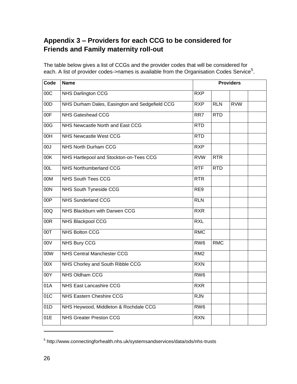# **Appendix 3 – Providers for each CCG to be considered for Friends and Family maternity roll-out**

The table below gives a list of CCGs and the provider codes that will be considered for each. A list of provider codes->names is available from the Organisation Codes Service<sup>5</sup>.

| Code            | <b>Name</b>                                    |                 | <b>Providers</b> |            |  |  |
|-----------------|------------------------------------------------|-----------------|------------------|------------|--|--|
| 00C             | NHS Darlington CCG                             | <b>RXP</b>      |                  |            |  |  |
| 00D             | NHS Durham Dales, Easington and Sedgefield CCG | <b>RXP</b>      | <b>RLN</b>       | <b>RVW</b> |  |  |
| 00F             | <b>NHS Gateshead CCG</b>                       | RR7             | <b>RTD</b>       |            |  |  |
| 00G             | NHS Newcastle North and East CCG               | <b>RTD</b>      |                  |            |  |  |
| 00H             | <b>NHS Newcastle West CCG</b>                  | <b>RTD</b>      |                  |            |  |  |
| 00J             | <b>NHS North Durham CCG</b>                    | <b>RXP</b>      |                  |            |  |  |
| 00K             | NHS Hartlepool and Stockton-on-Tees CCG        | <b>RVW</b>      | <b>RTR</b>       |            |  |  |
| 00 <sub>L</sub> | <b>NHS Northumberland CCG</b>                  | <b>RTF</b>      | <b>RTD</b>       |            |  |  |
| 00M             | <b>NHS South Tees CCG</b>                      | <b>RTR</b>      |                  |            |  |  |
| 00N             | NHS South Tyneside CCG                         | RE9             |                  |            |  |  |
| 00P             | <b>NHS Sunderland CCG</b>                      | <b>RLN</b>      |                  |            |  |  |
| 00Q             | NHS Blackburn with Darwen CCG                  | <b>RXR</b>      |                  |            |  |  |
| 00R             | NHS Blackpool CCG                              | <b>RXL</b>      |                  |            |  |  |
| 00T             | <b>NHS Bolton CCG</b>                          | <b>RMC</b>      |                  |            |  |  |
| 00V             | <b>NHS Bury CCG</b>                            | RW <sub>6</sub> | <b>RMC</b>       |            |  |  |
| 00W             | <b>NHS Central Manchester CCG</b>              | RM <sub>2</sub> |                  |            |  |  |
| 00X             | NHS Chorley and South Ribble CCG               | <b>RXN</b>      |                  |            |  |  |
| 00Y             | <b>NHS Oldham CCG</b>                          | RW <sub>6</sub> |                  |            |  |  |
| 01A             | NHS East Lancashire CCG                        | <b>RXR</b>      |                  |            |  |  |
| 01C             | <b>NHS Eastern Cheshire CCG</b>                | RJN             |                  |            |  |  |
| 01D             | NHS Heywood, Middleton & Rochdale CCG          | RW <sub>6</sub> |                  |            |  |  |
| 01E             | <b>NHS Greater Preston CCG</b>                 | <b>RXN</b>      |                  |            |  |  |

<sup>&</sup>lt;sup>5</sup> http://www.connectingforhealth.nhs.uk/systemsandservices/data/ods/nhs-trusts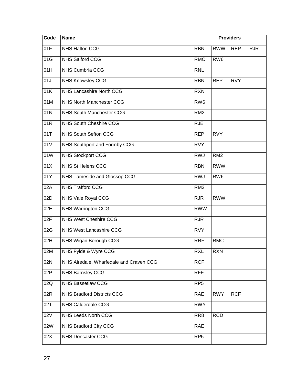| Code | <b>Name</b>                             |                 | <b>Providers</b> |            |            |  |
|------|-----------------------------------------|-----------------|------------------|------------|------------|--|
| 01F  | NHS Halton CCG                          | <b>RBN</b>      | <b>RWW</b>       | <b>REP</b> | <b>RJR</b> |  |
| 01G  | NHS Salford CCG                         | <b>RMC</b>      | RW <sub>6</sub>  |            |            |  |
| 01H  | <b>NHS Cumbria CCG</b>                  | <b>RNL</b>      |                  |            |            |  |
| 01J  | <b>NHS Knowsley CCG</b>                 | <b>RBN</b>      | <b>REP</b>       | <b>RVY</b> |            |  |
| 01K  | NHS Lancashire North CCG                | <b>RXN</b>      |                  |            |            |  |
| 01M  | <b>NHS North Manchester CCG</b>         | RW <sub>6</sub> |                  |            |            |  |
| 01N  | <b>NHS South Manchester CCG</b>         | RM <sub>2</sub> |                  |            |            |  |
| 01R  | NHS South Cheshire CCG                  | <b>RJE</b>      |                  |            |            |  |
| 01T  | NHS South Sefton CCG                    | <b>REP</b>      | <b>RVY</b>       |            |            |  |
| 01V  | NHS Southport and Formby CCG            | <b>RVY</b>      |                  |            |            |  |
| 01W  | <b>NHS Stockport CCG</b>                | <b>RWJ</b>      | RM <sub>2</sub>  |            |            |  |
| 01X  | <b>NHS St Helens CCG</b>                | <b>RBN</b>      | <b>RWW</b>       |            |            |  |
| 01Y  | NHS Tameside and Glossop CCG            | <b>RWJ</b>      | RW <sub>6</sub>  |            |            |  |
| 02A  | <b>NHS Trafford CCG</b>                 | RM <sub>2</sub> |                  |            |            |  |
| 02D  | NHS Vale Royal CCG                      | <b>RJR</b>      | <b>RWW</b>       |            |            |  |
| 02E  | <b>NHS Warrington CCG</b>               | <b>RWW</b>      |                  |            |            |  |
| 02F  | NHS West Cheshire CCG                   | <b>RJR</b>      |                  |            |            |  |
| 02G  | NHS West Lancashire CCG                 | <b>RVY</b>      |                  |            |            |  |
| 02H  | NHS Wigan Borough CCG                   | <b>RRF</b>      | <b>RMC</b>       |            |            |  |
| 02M  | NHS Fylde & Wyre CCG                    | <b>RXL</b>      | <b>RXN</b>       |            |            |  |
| 02N  | NHS Airedale, Wharfedale and Craven CCG | <b>RCF</b>      |                  |            |            |  |
| 02P  | NHS Barnsley CCG                        | <b>RFF</b>      |                  |            |            |  |
| 02Q  | <b>NHS Bassetlaw CCG</b>                | RP <sub>5</sub> |                  |            |            |  |
| 02R  | <b>NHS Bradford Districts CCG</b>       | <b>RAE</b>      | <b>RWY</b>       | <b>RCF</b> |            |  |
| 02T  | NHS Calderdale CCG                      | <b>RWY</b>      |                  |            |            |  |
| 02V  | NHS Leeds North CCG                     | RR <sub>8</sub> | <b>RCD</b>       |            |            |  |
| 02W  | NHS Bradford City CCG                   | <b>RAE</b>      |                  |            |            |  |
| 02X  | <b>NHS Doncaster CCG</b>                | RP <sub>5</sub> |                  |            |            |  |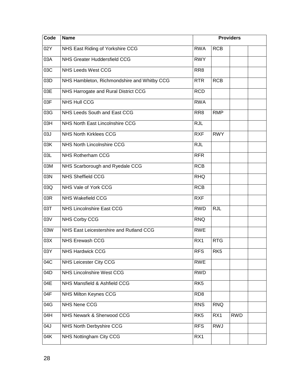| Code | <b>Name</b>                                 | <b>Providers</b> |                 |            |  |
|------|---------------------------------------------|------------------|-----------------|------------|--|
| 02Y  | NHS East Riding of Yorkshire CCG            | <b>RWA</b>       | <b>RCB</b>      |            |  |
| 03A  | NHS Greater Huddersfield CCG                | <b>RWY</b>       |                 |            |  |
| 03C  | <b>NHS Leeds West CCG</b>                   | RR <sub>8</sub>  |                 |            |  |
| 03D  | NHS Hambleton, Richmondshire and Whitby CCG | <b>RTR</b>       | <b>RCB</b>      |            |  |
| 03E  | NHS Harrogate and Rural District CCG        | <b>RCD</b>       |                 |            |  |
| 03F  | <b>NHS Hull CCG</b>                         | <b>RWA</b>       |                 |            |  |
| 03G  | NHS Leeds South and East CCG                | RR <sub>8</sub>  | <b>RMP</b>      |            |  |
| 03H  | NHS North East Lincolnshire CCG             | <b>RJL</b>       |                 |            |  |
| 03J  | <b>NHS North Kirklees CCG</b>               | <b>RXF</b>       | <b>RWY</b>      |            |  |
| 03K  | <b>NHS North Lincolnshire CCG</b>           | <b>RJL</b>       |                 |            |  |
| 03L  | NHS Rotherham CCG                           | <b>RFR</b>       |                 |            |  |
| 03M  | NHS Scarborough and Ryedale CCG             | <b>RCB</b>       |                 |            |  |
| 03N  | <b>NHS Sheffield CCG</b>                    | <b>RHQ</b>       |                 |            |  |
| 03Q  | NHS Vale of York CCG                        | <b>RCB</b>       |                 |            |  |
| 03R  | <b>NHS Wakefield CCG</b>                    | <b>RXF</b>       |                 |            |  |
| 03T  | <b>NHS Lincolnshire East CCG</b>            | <b>RWD</b>       | <b>RJL</b>      |            |  |
| 03V  | NHS Corby CCG                               | <b>RNQ</b>       |                 |            |  |
| 03W  | NHS East Leicestershire and Rutland CCG     | <b>RWE</b>       |                 |            |  |
| 03X  | NHS Erewash CCG                             | RX1              | <b>RTG</b>      |            |  |
| 03Y  | <b>NHS Hardwick CCG</b>                     | <b>RFS</b>       | RK <sub>5</sub> |            |  |
| 04C  | NHS Leicester City CCG                      | <b>RWE</b>       |                 |            |  |
| 04D  | NHS Lincolnshire West CCG                   | <b>RWD</b>       |                 |            |  |
| 04E  | NHS Mansfield & Ashfield CCG                | RK <sub>5</sub>  |                 |            |  |
| 04F  | NHS Milton Keynes CCG                       | RD <sub>8</sub>  |                 |            |  |
| 04G  | NHS Nene CCG                                | <b>RNS</b>       | <b>RNQ</b>      |            |  |
| 04H  | NHS Newark & Sherwood CCG                   | RK <sub>5</sub>  | RX1             | <b>RWD</b> |  |
| 04J  | NHS North Derbyshire CCG                    | <b>RFS</b>       | <b>RWJ</b>      |            |  |
| 04K  | <b>NHS Nottingham City CCG</b>              | RX1              |                 |            |  |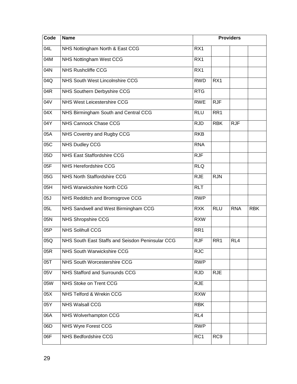| Code | <b>Name</b>                                      |                 | <b>Providers</b> |            |            |  |
|------|--------------------------------------------------|-----------------|------------------|------------|------------|--|
| 04L  | NHS Nottingham North & East CCG                  | RX1             |                  |            |            |  |
| 04M  | <b>NHS Nottingham West CCG</b>                   | RX1             |                  |            |            |  |
| 04N  | <b>NHS Rushcliffe CCG</b>                        | RX1             |                  |            |            |  |
| 04Q  | NHS South West Lincolnshire CCG                  | <b>RWD</b>      | RX1              |            |            |  |
| 04R  | NHS Southern Derbyshire CCG                      | <b>RTG</b>      |                  |            |            |  |
| 04V  | <b>NHS West Leicestershire CCG</b>               | <b>RWE</b>      | <b>RJF</b>       |            |            |  |
| 04X  | NHS Birmingham South and Central CCG             | <b>RLU</b>      | RR <sub>1</sub>  |            |            |  |
| 04Y  | NHS Cannock Chase CCG                            | <b>RJD</b>      | <b>RBK</b>       | <b>RJF</b> |            |  |
| 05A  | NHS Coventry and Rugby CCG                       | <b>RKB</b>      |                  |            |            |  |
| 05C  | <b>NHS Dudley CCG</b>                            | <b>RNA</b>      |                  |            |            |  |
| 05D  | <b>NHS East Staffordshire CCG</b>                | <b>RJF</b>      |                  |            |            |  |
| 05F  | <b>NHS Herefordshire CCG</b>                     | <b>RLQ</b>      |                  |            |            |  |
| 05G  | NHS North Staffordshire CCG                      | <b>RJE</b>      | <b>RJN</b>       |            |            |  |
| 05H  | NHS Warwickshire North CCG                       | <b>RLT</b>      |                  |            |            |  |
| 05J  | NHS Redditch and Bromsgrove CCG                  | <b>RWP</b>      |                  |            |            |  |
| 05L  | NHS Sandwell and West Birmingham CCG             | <b>RXK</b>      | <b>RLU</b>       | <b>RNA</b> | <b>RBK</b> |  |
| 05N  | NHS Shropshire CCG                               | <b>RXW</b>      |                  |            |            |  |
| 05P  | <b>NHS Solihull CCG</b>                          | RR1             |                  |            |            |  |
| 05Q  | NHS South East Staffs and Seisdon Peninsular CCG | <b>RJF</b>      | RR <sub>1</sub>  | RL4        |            |  |
| 05R  | NHS South Warwickshire CCG                       | <b>RJC</b>      |                  |            |            |  |
| 05T  | NHS South Worcestershire CCG                     | <b>RWP</b>      |                  |            |            |  |
| 05V  | <b>NHS Stafford and Surrounds CCG</b>            | <b>RJD</b>      | <b>RJE</b>       |            |            |  |
| 05W  | NHS Stoke on Trent CCG                           | <b>RJE</b>      |                  |            |            |  |
| 05X  | NHS Telford & Wrekin CCG                         | <b>RXW</b>      |                  |            |            |  |
| 05Y  | <b>NHS Walsall CCG</b>                           | <b>RBK</b>      |                  |            |            |  |
| 06A  | NHS Wolverhampton CCG                            | RL4             |                  |            |            |  |
| 06D  | NHS Wyre Forest CCG                              | <b>RWP</b>      |                  |            |            |  |
| 06F  | <b>NHS Bedfordshire CCG</b>                      | RC <sub>1</sub> | RC <sub>9</sub>  |            |            |  |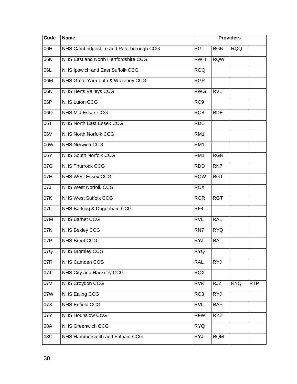| Code | <b>Name</b>                             | <b>Providers</b> |            |            |            |
|------|-----------------------------------------|------------------|------------|------------|------------|
| 06H  | NHS Cambridgeshire and Peterborough CCG | <b>RGT</b>       | <b>RGN</b> | <b>RQQ</b> |            |
| 06K  | NHS East and North Hertfordshire CCG    | <b>RWH</b>       | <b>RQW</b> |            |            |
| 06L  | NHS Ipswich and East Suffolk CCG        | <b>RGQ</b>       |            |            |            |
| 06M  | NHS Great Yarmouth & Waveney CCG        | <b>RGP</b>       |            |            |            |
| 06N  | <b>NHS Herts Valleys CCG</b>            | <b>RWG</b>       | <b>RVL</b> |            |            |
| 06P  | <b>NHS Luton CCG</b>                    | RC <sub>9</sub>  |            |            |            |
| 06Q  | NHS Mid Essex CCG                       | RQ8              | <b>RDE</b> |            |            |
| 06T  | <b>NHS North East Essex CCG</b>         | <b>RDE</b>       |            |            |            |
| 06V  | <b>NHS North Norfolk CCG</b>            | RM <sub>1</sub>  |            |            |            |
| 06W  | <b>NHS Norwich CCG</b>                  | RM <sub>1</sub>  |            |            |            |
| 06Y  | NHS South Norfolk CCG                   | RM <sub>1</sub>  | <b>RGR</b> |            |            |
| 07G  | <b>NHS Thurrock CCG</b>                 | <b>RDD</b>       | RN7        |            |            |
| 07H  | <b>NHS West Essex CCG</b>               | <b>RQW</b>       | <b>RGT</b> |            |            |
| 07J  | <b>NHS West Norfolk CCG</b>             | <b>RCX</b>       |            |            |            |
| 07K  | <b>NHS West Suffolk CCG</b>             | <b>RGR</b>       | <b>RGT</b> |            |            |
| 07L  | NHS Barking & Dagenham CCG              | RF4              |            |            |            |
| 07M  | <b>NHS Barnet CCG</b>                   | <b>RVL</b>       | <b>RAL</b> |            |            |
| 07N  | <b>NHS Bexley CCG</b>                   | RN7              | <b>RYQ</b> |            |            |
| 07P  | <b>NHS Brent CCG</b>                    | <b>RYJ</b>       | <b>RAL</b> |            |            |
| 07Q  | NHS Bromley CCG                         | <b>RYQ</b>       |            |            |            |
| 07R  | NHS Camden CCG                          | <b>RAL</b>       | <b>RYJ</b> |            |            |
| 07T  | NHS City and Hackney CCG                | <b>RQX</b>       |            |            |            |
| 07V  | <b>NHS Croydon CCG</b>                  | <b>RVR</b>       | <b>RJZ</b> | <b>RYQ</b> | <b>RTP</b> |
| 07W  | NHS Ealing CCG                          | RC <sub>3</sub>  | <b>RYJ</b> |            |            |
| 07X  | <b>NHS Enfield CCG</b>                  | <b>RVL</b>       | <b>RAP</b> |            |            |
| 07Y  | <b>NHS Hounslow CCG</b>                 | <b>RFW</b>       | <b>RYJ</b> |            |            |
| 08A  | <b>NHS Greenwich CCG</b>                | <b>RYQ</b>       |            |            |            |
| 08C  | NHS Hammersmith and Fulham CCG          | <b>RYJ</b>       | <b>RQM</b> |            |            |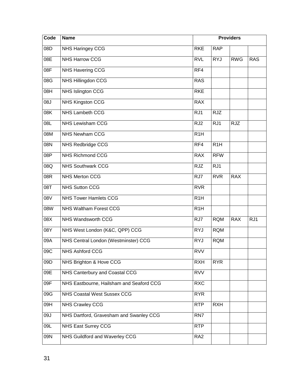| Code | <b>Name</b>                              |                  | <b>Providers</b> |            |            |  |
|------|------------------------------------------|------------------|------------------|------------|------------|--|
| 08D  | <b>NHS Haringey CCG</b>                  | <b>RKE</b>       | <b>RAP</b>       |            |            |  |
| 08E  | <b>NHS Harrow CCG</b>                    | <b>RVL</b>       | <b>RYJ</b>       | <b>RWG</b> | <b>RAS</b> |  |
| 08F  | <b>NHS Havering CCG</b>                  | RF4              |                  |            |            |  |
| 08G  | NHS Hillingdon CCG                       | <b>RAS</b>       |                  |            |            |  |
| 08H  | NHS Islington CCG                        | <b>RKE</b>       |                  |            |            |  |
| 08J  | <b>NHS Kingston CCG</b>                  | <b>RAX</b>       |                  |            |            |  |
| 08K  | <b>NHS Lambeth CCG</b>                   | RJ1              | <b>RJZ</b>       |            |            |  |
| 08L  | <b>NHS</b> Lewisham CCG                  | RJ <sub>2</sub>  | RJ1              | <b>RJZ</b> |            |  |
| 08M  | <b>NHS Newham CCG</b>                    | R <sub>1</sub> H |                  |            |            |  |
| 08N  | NHS Redbridge CCG                        | RF4              | R <sub>1</sub> H |            |            |  |
| 08P  | <b>NHS Richmond CCG</b>                  | <b>RAX</b>       | <b>RFW</b>       |            |            |  |
| 08Q  | <b>NHS Southwark CCG</b>                 | <b>RJZ</b>       | RJ1              |            |            |  |
| 08R  | <b>NHS Merton CCG</b>                    | RJ7              | <b>RVR</b>       | <b>RAX</b> |            |  |
| 08T  | <b>NHS Sutton CCG</b>                    | <b>RVR</b>       |                  |            |            |  |
| 08V  | <b>NHS Tower Hamlets CCG</b>             | R <sub>1</sub> H |                  |            |            |  |
| 08W  | NHS Waltham Forest CCG                   | R <sub>1</sub> H |                  |            |            |  |
| 08X  | NHS Wandsworth CCG                       | RJ7              | <b>RQM</b>       | <b>RAX</b> | RJ1        |  |
| 08Y  | NHS West London (K&C, QPP) CCG           | <b>RYJ</b>       | <b>RQM</b>       |            |            |  |
| 09A  | NHS Central London (Westminster) CCG     | <b>RYJ</b>       | <b>RQM</b>       |            |            |  |
| 09C  | NHS Ashford CCG                          | <b>RVV</b>       |                  |            |            |  |
| 09D  | NHS Brighton & Hove CCG                  | <b>RXH</b>       | <b>RYR</b>       |            |            |  |
| 09E  | NHS Canterbury and Coastal CCG           | <b>RVV</b>       |                  |            |            |  |
| 09F  | NHS Eastbourne, Hailsham and Seaford CCG | <b>RXC</b>       |                  |            |            |  |
| 09G  | <b>NHS Coastal West Sussex CCG</b>       | <b>RYR</b>       |                  |            |            |  |
| 09H  | <b>NHS Crawley CCG</b>                   | <b>RTP</b>       | <b>RXH</b>       |            |            |  |
| 09J  | NHS Dartford, Gravesham and Swanley CCG  | RN7              |                  |            |            |  |
| 09L  | NHS East Surrey CCG                      | <b>RTP</b>       |                  |            |            |  |
| 09N  | NHS Guildford and Waverley CCG           | RA <sub>2</sub>  |                  |            |            |  |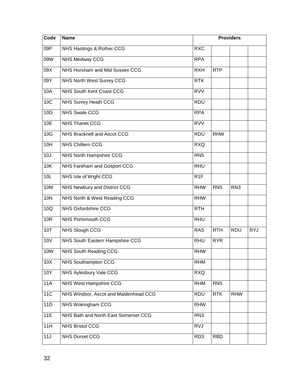| Code       | <b>Name</b>                           |                  | <b>Providers</b> |                 |            |
|------------|---------------------------------------|------------------|------------------|-----------------|------------|
| 09P        | NHS Hastings & Rother CCG             | <b>RXC</b>       |                  |                 |            |
| 09W        | NHS Medway CCG                        | <b>RPA</b>       |                  |                 |            |
| 09X        | NHS Horsham and Mid Sussex CCG        | RXH              | <b>RTP</b>       |                 |            |
| 09Y        | NHS North West Surrey CCG             | <b>RTK</b>       |                  |                 |            |
| 10A        | NHS South Kent Coast CCG              | <b>RVV</b>       |                  |                 |            |
| 10C        | NHS Surrey Heath CCG                  | <b>RDU</b>       |                  |                 |            |
| 10D        | <b>NHS Swale CCG</b>                  | <b>RPA</b>       |                  |                 |            |
| 10E        | <b>NHS Thanet CCG</b>                 | <b>RVV</b>       |                  |                 |            |
| 10G        | NHS Bracknell and Ascot CCG           | <b>RDU</b>       | <b>RHW</b>       |                 |            |
| 10H        | <b>NHS Chiltern CCG</b>               | <b>RXQ</b>       |                  |                 |            |
| 10J        | NHS North Hampshire CCG               | RN <sub>5</sub>  |                  |                 |            |
| 10K        | NHS Fareham and Gosport CCG           | <b>RHU</b>       |                  |                 |            |
| 10L        | NHS Isle of Wight CCG                 | R <sub>1</sub> F |                  |                 |            |
| 10M        | <b>NHS Newbury and District CCG</b>   | <b>RHW</b>       | RN <sub>5</sub>  | RN <sub>3</sub> |            |
| <b>10N</b> | NHS North & West Reading CCG          | <b>RHW</b>       |                  |                 |            |
| 10Q        | NHS Oxfordshire CCG                   | <b>RTH</b>       |                  |                 |            |
| 10R        | <b>NHS Portsmouth CCG</b>             | <b>RHU</b>       |                  |                 |            |
| 10T        | <b>NHS Slough CCG</b>                 | <b>RAS</b>       | <b>RTH</b>       | <b>RDU</b>      | <b>RYJ</b> |
| <b>10V</b> | NHS South Eastern Hampshire CCG       | <b>RHU</b>       | <b>RYR</b>       |                 |            |
| 10W        | NHS South Reading CCG                 | <b>RHW</b>       |                  |                 |            |
| 10X        | <b>NHS Southampton CCG</b>            | <b>RHM</b>       |                  |                 |            |
| 10Y        | NHS Aylesbury Vale CCG                | <b>RXQ</b>       |                  |                 |            |
| <b>11A</b> | NHS West Hampshire CCG                | <b>RHM</b>       | RN <sub>5</sub>  |                 |            |
| <b>11C</b> | NHS Windsor, Ascot and Maidenhead CCG | <b>RDU</b>       | <b>RTK</b>       | <b>RHW</b>      |            |
| 11D        | NHS Wokingham CCG                     | <b>RHW</b>       |                  |                 |            |
| 11E        | NHS Bath and North East Somerset CCG  | RN <sub>3</sub>  |                  |                 |            |
| 11H        | <b>NHS Bristol CCG</b>                | <b>RVJ</b>       |                  |                 |            |
| 11J        | <b>NHS Dorset CCG</b>                 | RD <sub>3</sub>  | <b>RBD</b>       |                 |            |